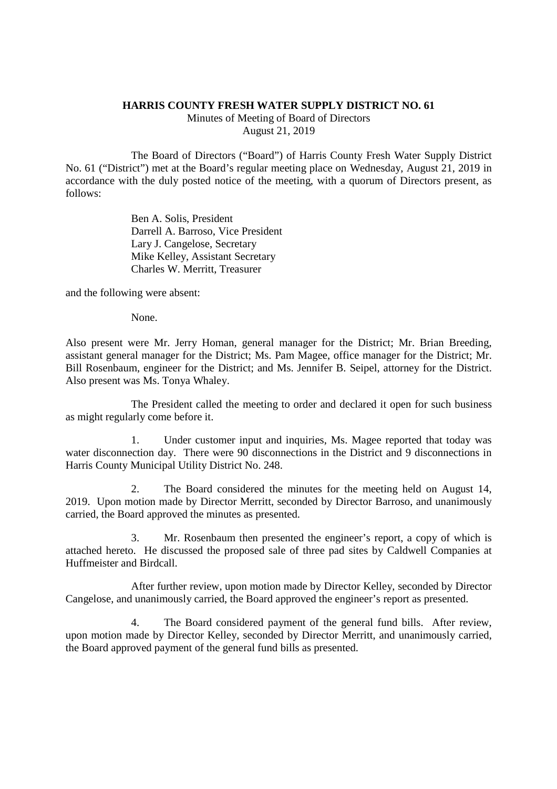## **HARRIS COUNTY FRESH WATER SUPPLY DISTRICT NO. 61**

Minutes of Meeting of Board of Directors August 21, 2019

The Board of Directors ("Board") of Harris County Fresh Water Supply District No. 61 ("District") met at the Board's regular meeting place on Wednesday, August 21, 2019 in accordance with the duly posted notice of the meeting, with a quorum of Directors present, as follows:

> Ben A. Solis, President Darrell A. Barroso, Vice President Lary J. Cangelose, Secretary Mike Kelley, Assistant Secretary Charles W. Merritt, Treasurer

and the following were absent:

None.

Also present were Mr. Jerry Homan, general manager for the District; Mr. Brian Breeding, assistant general manager for the District; Ms. Pam Magee, office manager for the District; Mr. Bill Rosenbaum, engineer for the District; and Ms. Jennifer B. Seipel, attorney for the District. Also present was Ms. Tonya Whaley.

The President called the meeting to order and declared it open for such business as might regularly come before it.

1. Under customer input and inquiries, Ms. Magee reported that today was water disconnection day. There were 90 disconnections in the District and 9 disconnections in Harris County Municipal Utility District No. 248.

2. The Board considered the minutes for the meeting held on August 14, 2019. Upon motion made by Director Merritt, seconded by Director Barroso, and unanimously carried, the Board approved the minutes as presented.

3. Mr. Rosenbaum then presented the engineer's report, a copy of which is attached hereto. He discussed the proposed sale of three pad sites by Caldwell Companies at Huffmeister and Birdcall.

After further review, upon motion made by Director Kelley, seconded by Director Cangelose, and unanimously carried, the Board approved the engineer's report as presented.

4. The Board considered payment of the general fund bills. After review, upon motion made by Director Kelley, seconded by Director Merritt, and unanimously carried, the Board approved payment of the general fund bills as presented.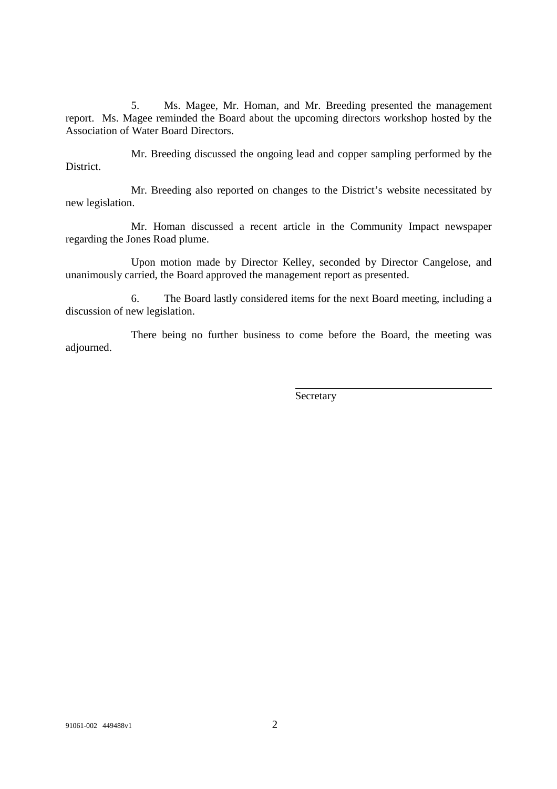5. Ms. Magee, Mr. Homan, and Mr. Breeding presented the management report. Ms. Magee reminded the Board about the upcoming directors workshop hosted by the Association of Water Board Directors.

Mr. Breeding discussed the ongoing lead and copper sampling performed by the **District.** 

Mr. Breeding also reported on changes to the District's website necessitated by new legislation.

Mr. Homan discussed a recent article in the Community Impact newspaper regarding the Jones Road plume.

Upon motion made by Director Kelley, seconded by Director Cangelose, and unanimously carried, the Board approved the management report as presented.

6. The Board lastly considered items for the next Board meeting, including a discussion of new legislation.

There being no further business to come before the Board, the meeting was adjourned.

Secretary